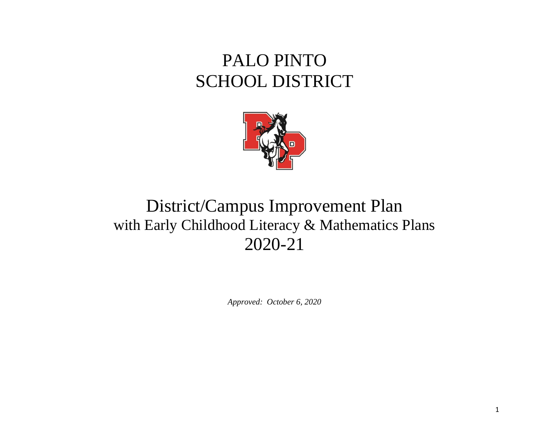# PALO PINTO SCHOOL DISTRICT



# District/Campus Improvement Plan with Early Childhood Literacy & Mathematics Plans 2020-21

*Approved: October 6, 2020*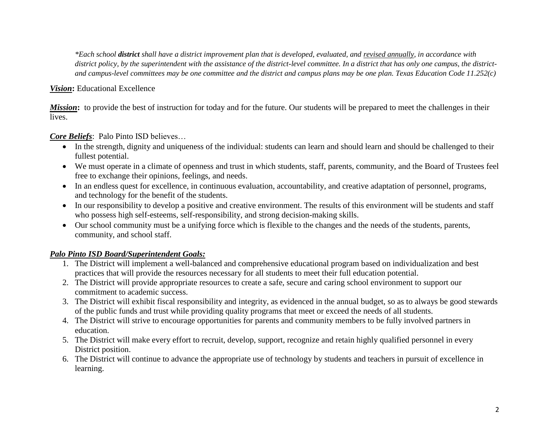*\*Each school district shall have a district improvement plan that is developed, evaluated, and revised annually, in accordance with district policy, by the superintendent with the assistance of the district-level committee. In a district that has only one campus, the districtand campus-level committees may be one committee and the district and campus plans may be one plan. Texas Education Code 11.252(c)*

#### *Vision***:** Educational Excellence

*Mission*: to provide the best of instruction for today and for the future. Our students will be prepared to meet the challenges in their lives.

#### *Core Beliefs*: Palo Pinto ISD believes…

- In the strength, dignity and uniqueness of the individual: students can learn and should learn and should be challenged to their fullest potential.
- We must operate in a climate of openness and trust in which students, staff, parents, community, and the Board of Trustees feel free to exchange their opinions, feelings, and needs.
- In an endless quest for excellence, in continuous evaluation, accountability, and creative adaptation of personnel, programs, and technology for the benefit of the students.
- In our responsibility to develop a positive and creative environment. The results of this environment will be students and staff who possess high self-esteems, self-responsibility, and strong decision-making skills.
- Our school community must be a unifying force which is flexible to the changes and the needs of the students, parents, community, and school staff.

#### *Palo Pinto ISD Board/Superintendent Goals:*

- 1. The District will implement a well-balanced and comprehensive educational program based on individualization and best practices that will provide the resources necessary for all students to meet their full education potential.
- 2. The District will provide appropriate resources to create a safe, secure and caring school environment to support our commitment to academic success.
- 3. The District will exhibit fiscal responsibility and integrity, as evidenced in the annual budget, so as to always be good stewards of the public funds and trust while providing quality programs that meet or exceed the needs of all students.
- 4. The District will strive to encourage opportunities for parents and community members to be fully involved partners in education.
- 5. The District will make every effort to recruit, develop, support, recognize and retain highly qualified personnel in every District position.
- 6. The District will continue to advance the appropriate use of technology by students and teachers in pursuit of excellence in learning.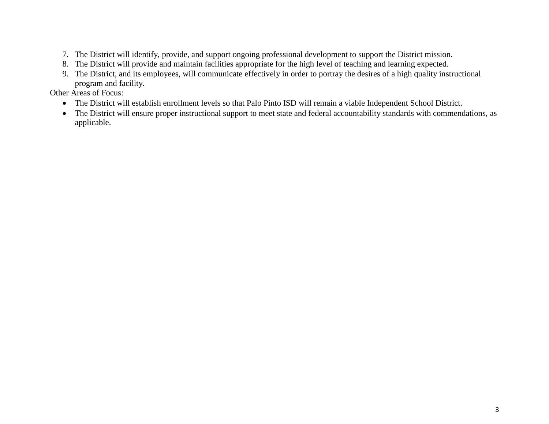- 7. The District will identify, provide, and support ongoing professional development to support the District mission.
- 8. The District will provide and maintain facilities appropriate for the high level of teaching and learning expected.
- 9. The District, and its employees, will communicate effectively in order to portray the desires of a high quality instructional program and facility.

Other Areas of Focus:

- The District will establish enrollment levels so that Palo Pinto ISD will remain a viable Independent School District.
- The District will ensure proper instructional support to meet state and federal accountability standards with commendations, as applicable.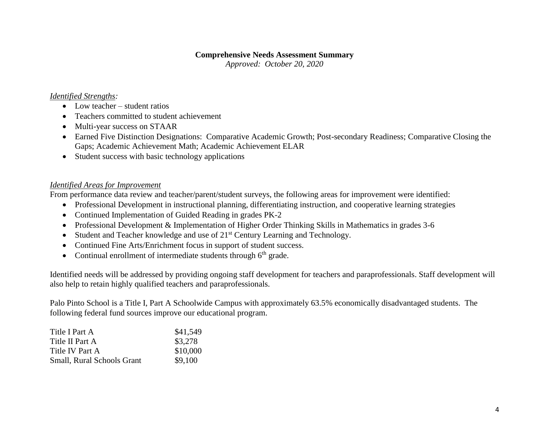#### **Comprehensive Needs Assessment Summary**

*Approved: October 20, 2020*

#### *Identified Strengths:*

- Low teacher student ratios
- Teachers committed to student achievement
- Multi-year success on STAAR
- Earned Five Distinction Designations: Comparative Academic Growth; Post-secondary Readiness; Comparative Closing the Gaps; Academic Achievement Math; Academic Achievement ELAR
- Student success with basic technology applications

#### *Identified Areas for Improvement*

From performance data review and teacher/parent/student surveys, the following areas for improvement were identified:

- Professional Development in instructional planning, differentiating instruction, and cooperative learning strategies
- Continued Implementation of Guided Reading in grades PK-2
- Professional Development & Implementation of Higher Order Thinking Skills in Mathematics in grades 3-6
- $\bullet$  Student and Teacher knowledge and use of  $21<sup>st</sup>$  Century Learning and Technology.
- Continued Fine Arts/Enrichment focus in support of student success.
- Continual enrollment of intermediate students through  $6<sup>th</sup>$  grade.

Identified needs will be addressed by providing ongoing staff development for teachers and paraprofessionals. Staff development will also help to retain highly qualified teachers and paraprofessionals.

Palo Pinto School is a Title I, Part A Schoolwide Campus with approximately 63.5% economically disadvantaged students. The following federal fund sources improve our educational program.

| Title I Part A                    | \$41,549 |
|-----------------------------------|----------|
| Title II Part A                   | \$3,278  |
| Title IV Part A                   | \$10,000 |
| <b>Small, Rural Schools Grant</b> | \$9,100  |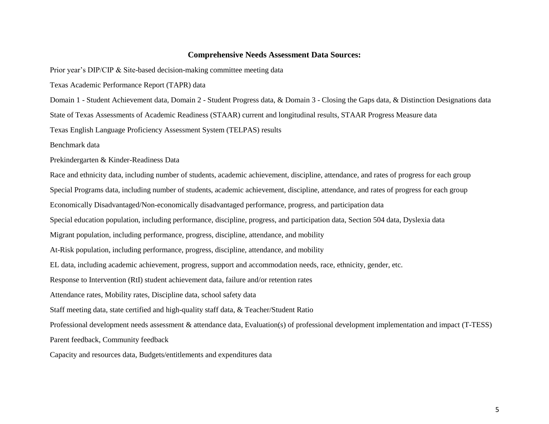#### **Comprehensive Needs Assessment Data Sources:**

Prior year's DIP/CIP & Site-based decision-making committee meeting data

Texas Academic Performance Report (TAPR) data

Domain 1 - Student Achievement data, Domain 2 - Student Progress data, & Domain 3 - Closing the Gaps data, & Distinction Designations data

State of Texas Assessments of Academic Readiness (STAAR) current and longitudinal results, STAAR Progress Measure data

Texas English Language Proficiency Assessment System (TELPAS) results

Benchmark data

Prekindergarten & Kinder-Readiness Data

Race and ethnicity data, including number of students, academic achievement, discipline, attendance, and rates of progress for each group Special Programs data, including number of students, academic achievement, discipline, attendance, and rates of progress for each group Economically Disadvantaged/Non-economically disadvantaged performance, progress, and participation data Special education population, including performance, discipline, progress, and participation data, Section 504 data, Dyslexia data Migrant population, including performance, progress, discipline, attendance, and mobility At-Risk population, including performance, progress, discipline, attendance, and mobility EL data, including academic achievement, progress, support and accommodation needs, race, ethnicity, gender, etc. Response to Intervention (RtI) student achievement data, failure and/or retention rates Attendance rates, Mobility rates, Discipline data, school safety data Staff meeting data, state certified and high-quality staff data, & Teacher/Student Ratio Professional development needs assessment & attendance data, Evaluation(s) of professional development implementation and impact (T-TESS) Parent feedback, Community feedback Capacity and resources data, Budgets/entitlements and expenditures data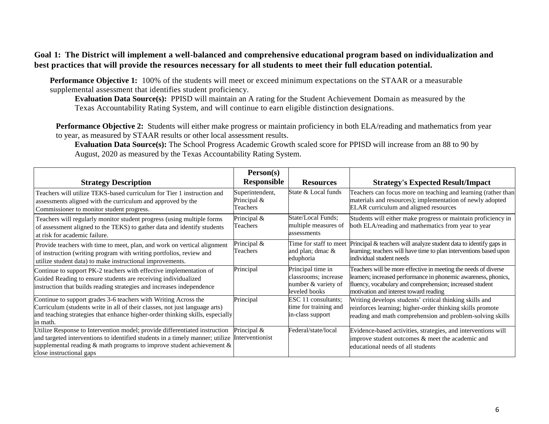#### **Goal 1: The District will implement a well-balanced and comprehensive educational program based on individualization and best practices that will provide the resources necessary for all students to meet their full education potential.**

**Performance Objective 1:** 100% of the students will meet or exceed minimum expectations on the STAAR or a measurable supplemental assessment that identifies student proficiency.

**Evaluation Data Source(s):** PPISD will maintain an A rating for the Student Achievement Domain as measured by the Texas Accountability Rating System, and will continue to earn eligible distinction designations.

**Performance Objective 2:** Students will either make progress or maintain proficiency in both ELA/reading and mathematics from year to year, as measured by STAAR results or other local assessment results.

**Evaluation Data Source(s):** The School Progress Academic Growth scaled score for PPISD will increase from an 88 to 90 by August, 2020 as measured by the Texas Accountability Rating System.

|                                                                                                                                                                                                                                                                        | Person(s)                                  |                                                                                   |                                                                                                                                                                                                                                          |
|------------------------------------------------------------------------------------------------------------------------------------------------------------------------------------------------------------------------------------------------------------------------|--------------------------------------------|-----------------------------------------------------------------------------------|------------------------------------------------------------------------------------------------------------------------------------------------------------------------------------------------------------------------------------------|
| <b>Strategy Description</b>                                                                                                                                                                                                                                            | Responsible                                | <b>Resources</b>                                                                  | <b>Strategy's Expected Result/Impact</b>                                                                                                                                                                                                 |
| Teachers will utilize TEKS-based curriculum for Tier 1 instruction and<br>assessments aligned with the curriculum and approved by the<br>Commissioner to monitor student progress.                                                                                     | Superintendent,<br>Principal &<br>Teachers | State & Local funds                                                               | Teachers can focus more on teaching and learning (rather than<br>materials and resources); implementation of newly adopted<br>ELAR curriculum and aligned resources                                                                      |
| Teachers will regularly monitor student progress (using multiple forms<br>of assessment aligned to the TEKS) to gather data and identify students<br>at risk for academic failure.                                                                                     | Principal &<br>Teachers                    | State/Local Funds;<br>multiple measures of<br>assessments                         | Students will either make progress or maintain proficiency in<br>both ELA/reading and mathematics from year to year                                                                                                                      |
| Provide teachers with time to meet, plan, and work on vertical alignment<br>of instruction (writing program with writing portfolios, review and<br>utilize student data) to make instructional improvements.                                                           | Principal &<br>Teachers                    | Time for staff to meet<br>and plan; dmac &<br>eduphoria                           | Principal & teachers will analyze student data to identify gaps in<br>learning; teachers will have time to plan interventions based upon<br>individual student needs                                                                     |
| Continue to support PK-2 teachers with effective implementation of<br>Guided Reading to ensure students are receiving individualized<br>instruction that builds reading strategies and increases independence                                                          | Principal                                  | Principal time in<br>classrooms; increase<br>number & variety of<br>leveled books | Teachers will be more effective in meeting the needs of diverse<br>learners; increased performance in phonemic awareness, phonics,<br>fluency, vocabulary and comprehension; increased student<br>motivation and interest toward reading |
| Continue to support grades 3-6 teachers with Writing Across the<br>Curriculum (students write in all of their classes, not just language arts)<br>and teaching strategies that enhance higher-order thinking skills, especially<br>in math.                            | Principal                                  | ESC 11 consultants;<br>time for training and<br>in-class support                  | Writing develops students' critical thinking skills and<br>reinforces learning; higher-order thinking skills promote<br>reading and math comprehension and problem-solving skills                                                        |
| Utilize Response to Intervention model; provide differentiated instruction<br>and targeted interventions to identified students in a timely manner; utilize<br>supplemental reading $\&$ math programs to improve student achievement $\&$<br>close instructional gaps | Principal &<br>Interventionist             | Federal/state/local                                                               | Evidence-based activities, strategies, and interventions will<br>improve student outcomes & meet the academic and<br>educational needs of all students                                                                                   |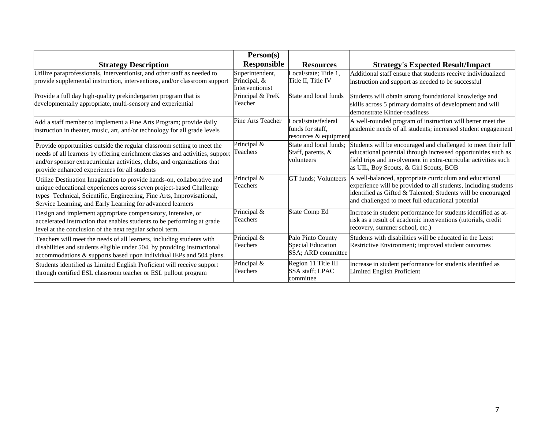|                                                                                                                                                                                                                                                                                      | Person(s)                                          |                                                                     |                                                                                                                                                                                                                                                                        |
|--------------------------------------------------------------------------------------------------------------------------------------------------------------------------------------------------------------------------------------------------------------------------------------|----------------------------------------------------|---------------------------------------------------------------------|------------------------------------------------------------------------------------------------------------------------------------------------------------------------------------------------------------------------------------------------------------------------|
| <b>Strategy Description</b>                                                                                                                                                                                                                                                          | <b>Responsible</b>                                 | <b>Resources</b>                                                    | <b>Strategy's Expected Result/Impact</b>                                                                                                                                                                                                                               |
| Utilize paraprofessionals, Interventionist, and other staff as needed to<br>provide supplemental instruction, interventions, and/or classroom support                                                                                                                                | Superintendent,<br>Principal, &<br>Interventionist | Local/state; Title $1$ ,<br>Title II, Title IV                      | Additional staff ensure that students receive individualized<br>instruction and support as needed to be successful                                                                                                                                                     |
| Provide a full day high-quality prekindergarten program that is<br>developmentally appropriate, multi-sensory and experiential                                                                                                                                                       | Principal & PreK<br>Teacher                        | State and local funds                                               | Students will obtain strong foundational knowledge and<br>skills across 5 primary domains of development and will<br>demonstrate Kinder-readiness                                                                                                                      |
| Add a staff member to implement a Fine Arts Program; provide daily<br>instruction in theater, music, art, and/or technology for all grade levels                                                                                                                                     | <b>Fine Arts Teacher</b>                           | Local/state/federal<br>funds for staff,<br>resources & equipment    | A well-rounded program of instruction will better meet the<br>academic needs of all students; increased student engagement                                                                                                                                             |
| Provide opportunities outside the regular classroom setting to meet the<br>needs of all learners by offering enrichment classes and activities, support<br>and/or sponsor extracurricular activities, clubs, and organizations that<br>provide enhanced experiences for all students | Principal &<br>Teachers                            | State and local funds;<br>Staff, parents, $\&$<br>volunteers        | Students will be encouraged and challenged to meet their full<br>educational potential through increased opportunities such as<br>field trips and involvement in extra-curricular activities such<br>as UIL, Boy Scouts, & Girl Scouts, BOB                            |
| Utilize Destination Imagination to provide hands-on, collaborative and<br>unique educational experiences across seven project-based Challenge<br>types-Technical, Scientific, Engineering, Fine Arts, Improvisational,<br>Service Learning, and Early Learning for advanced learners | Principal &<br>Teachers                            |                                                                     | GT funds; Volunteers   A well-balanced, appropriate curriculum and educational<br>experience will be provided to all students, including students<br>identified as Gifted & Talented; Students will be encouraged<br>and challenged to meet full educational potential |
| Design and implement appropriate compensatory, intensive, or<br>accelerated instruction that enables students to be performing at grade<br>level at the conclusion of the next regular school term.                                                                                  | Principal &<br>Teachers                            | <b>State Comp Ed</b>                                                | Increase in student performance for students identified as at-<br>risk as a result of academic interventions (tutorials, credit<br>recovery, summer school, etc.)                                                                                                      |
| Teachers will meet the needs of all learners, including students with<br>disabilities and students eligible under 504, by providing instructional<br>accommodations & supports based upon individual IEPs and 504 plans.                                                             | Principal &<br>Teachers                            | Palo Pinto County<br><b>Special Education</b><br>SSA; ARD committee | Students with disabilities will be educated in the Least<br>Restrictive Environment; improved student outcomes                                                                                                                                                         |
| Students identified as Limited English Proficient will receive support<br>through certified ESL classroom teacher or ESL pullout program                                                                                                                                             | Principal &<br>Teachers                            | Region 11 Title III<br><b>SSA</b> staff; LPAC<br>committee          | Increase in student performance for students identified as<br>Limited English Proficient                                                                                                                                                                               |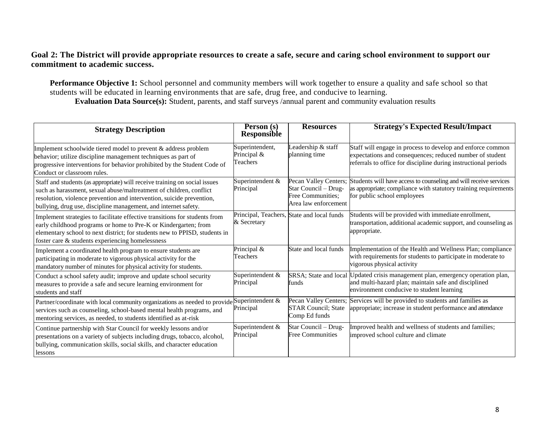#### **Goal 2: The District will provide appropriate resources to create a safe, secure and caring school environment to support our commitment to academic success.**

**Performance Objective 1:** School personnel and community members will work together to ensure a quality and safe school so that students will be educated in learning environments that are safe, drug free, and conducive to learning. **Evaluation Data Source(s):** Student, parents, and staff surveys /annual parent and community evaluation results

| <b>Strategy Description</b>                                                                                                                                                                                                                                                                   | Person (s)<br><b>Responsible</b>           | <b>Resources</b>                                                                           | <b>Strategy's Expected Result/Impact</b>                                                                                                                                                  |
|-----------------------------------------------------------------------------------------------------------------------------------------------------------------------------------------------------------------------------------------------------------------------------------------------|--------------------------------------------|--------------------------------------------------------------------------------------------|-------------------------------------------------------------------------------------------------------------------------------------------------------------------------------------------|
| Implement schoolwide tiered model to prevent & address problem<br>behavior; utilize discipline management techniques as part of<br>progressive interventions for behavior prohibited by the Student Code of<br>Conduct or classroom rules.                                                    | Superintendent,<br>Principal &<br>Teachers | Leadership & staff<br>planning time                                                        | Staff will engage in process to develop and enforce common<br>expectations and consequences; reduced number of student<br>referrals to office for discipline during instructional periods |
| Staff and students (as appropriate) will receive training on social issues<br>such as harassment, sexual abuse/maltreatment of children, conflict<br>resolution, violence prevention and intervention, suicide prevention,<br>bullying, drug use, discipline management, and internet safety. | Superintendent &<br>Principal              | Pecan Valley Centers;<br>Star Council - Drug-<br>Free Communities;<br>Area law enforcement | Students will have access to counseling and will receive services<br>as appropriate; compliance with statutory training requirements<br>for public school employees                       |
| Implement strategies to facilitate effective transitions for students from<br>early childhood programs or home to Pre-K or Kindergarten; from<br>elementary school to next district; for students new to PPISD, students in<br>foster care & students experiencing homelessness               | & Secretary                                | Principal, Teachers, State and local funds                                                 | Students will be provided with immediate enrollment,<br>transportation, additional academic support, and counseling as<br>appropriate.                                                    |
| Implement a coordinated health program to ensure students are<br>participating in moderate to vigorous physical activity for the<br>mandatory number of minutes for physical activity for students.                                                                                           | Principal &<br>Teachers                    | State and local funds                                                                      | Implementation of the Health and Wellness Plan; compliance<br>with requirements for students to participate in moderate to<br>vigorous physical activity                                  |
| Conduct a school safety audit; improve and update school security<br>measures to provide a safe and secure learning environment for<br>students and staff                                                                                                                                     | Superintendent &<br>Principal              | funds                                                                                      | SRSA; State and local Updated crisis management plan, emergency operation plan,<br>and multi-hazard plan; maintain safe and disciplined<br>environment conducive to student learning      |
| Partner/coordinate with local community organizations as needed to provide Superintendent &<br>services such as counseling, school-based mental health programs, and<br>mentoring services, as needed, to students identified as at-risk                                                      | Principal                                  | Pecan Valley Centers;<br><b>STAR Council</b> ; State<br>Comp Ed funds                      | Services will be provided to students and families as<br>appropriate; increase in student performance and attendance                                                                      |
| Continue partnership with Star Council for weekly lessons and/or<br>presentations on a variety of subjects including drugs, tobacco, alcohol,<br>bullying, communication skills, social skills, and character education<br>lessons                                                            | Superintendent &<br>Principal              | Star Council - Drug-<br><b>Free Communities</b>                                            | Improved health and wellness of students and families;<br>improved school culture and climate                                                                                             |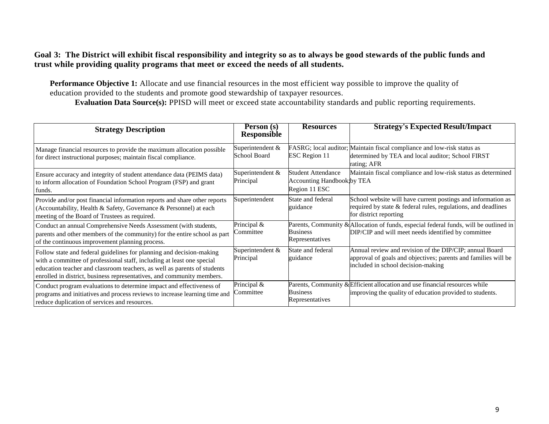#### **Goal 3: The District will exhibit fiscal responsibility and integrity so as to always be good stewards of the public funds and trust while providing quality programs that meet or exceed the needs of all students.**

**Performance Objective 1:** Allocate and use financial resources in the most efficient way possible to improve the quality of education provided to the students and promote good stewardship of taxpayer resources.

**Evaluation Data Source(s):** PPISD will meet or exceed state accountability standards and public reporting requirements.

| <b>Strategy Description</b>                                                                                                                                                                                                                                                                          | Person (s)<br><b>Responsible</b> | <b>Resources</b>                                                         | <b>Strategy's Expected Result/Impact</b>                                                                                                                        |
|------------------------------------------------------------------------------------------------------------------------------------------------------------------------------------------------------------------------------------------------------------------------------------------------------|----------------------------------|--------------------------------------------------------------------------|-----------------------------------------------------------------------------------------------------------------------------------------------------------------|
| Manage financial resources to provide the maximum allocation possible<br>for direct instructional purposes; maintain fiscal compliance.                                                                                                                                                              | Superintendent &<br>School Board | <b>ESC</b> Region 11                                                     | FASRG; local auditor; Maintain fiscal compliance and low-risk status as<br>determined by TEA and local auditor; School FIRST<br>rating; AFR                     |
| Ensure accuracy and integrity of student attendance data (PEIMS data)<br>to inform allocation of Foundation School Program (FSP) and grant<br>funds.                                                                                                                                                 | Superintendent &<br>Principal    | Student Attendance<br><b>Accounting Handbook by TEA</b><br>Region 11 ESC | Maintain fiscal compliance and low-risk status as determined                                                                                                    |
| Provide and/or post financial information reports and share other reports<br>(Accountability, Health & Safety, Governance & Personnel) at each<br>meeting of the Board of Trustees as required.                                                                                                      | Superintendent                   | State and federal<br>guidance                                            | School website will have current postings and information as<br>required by state & federal rules, regulations, and deadlines<br>for district reporting         |
| Conduct an annual Comprehensive Needs Assessment (with students,<br>parents and other members of the community) for the entire school as part<br>of the continuous improvement planning process.                                                                                                     | Principal &<br>Committee         | <b>Business</b><br>Representatives                                       | Parents, Community & Allocation of funds, especial federal funds, will be outlined in<br>DIP/CIP and will meet needs identified by committee                    |
| Follow state and federal guidelines for planning and decision-making<br>with a committee of professional staff, including at least one special<br>education teacher and classroom teachers, as well as parents of students<br>enrolled in district, business representatives, and community members. | Superintendent &<br>Principal    | State and federal<br>guidance                                            | Annual review and revision of the DIP/CIP; annual Board<br>approval of goals and objectives; parents and families will be<br>included in school decision-making |
| Conduct program evaluations to determine impact and effectiveness of<br>programs and initiatives and process reviews to increase learning time and<br>reduce duplication of services and resources.                                                                                                  | Principal &<br>Committee         | <b>Business</b><br>Representatives                                       | Parents, Community & Efficient allocation and use financial resources while<br>improving the quality of education provided to students.                         |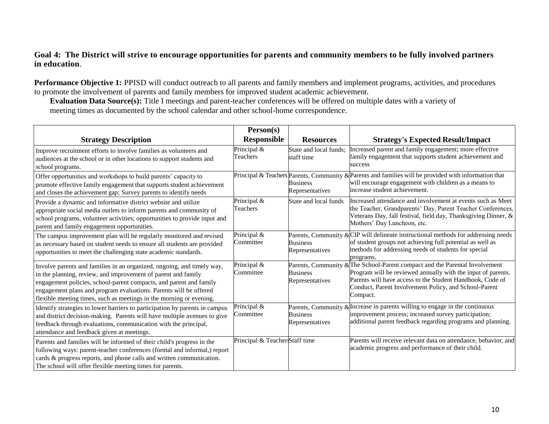#### **Goal 4: The District will strive to encourage opportunities for parents and community members to be fully involved partners in education**.

**Performance Objective 1:** PPISD will conduct outreach to all parents and family members and implement programs, activities, and procedures to promote the involvement of parents and family members for improved student academic achievement.

**Evaluation Data Source(s):** Title I meetings and parent-teacher conferences will be offered on multiple dates with a variety of meeting times as documented by the school calendar and other school-home correspondence.

|                                                                                                                                                                                                                                                                                                                                                           | Person(s)                      |                                      |                                                                                                                                                                                                                                                                               |
|-----------------------------------------------------------------------------------------------------------------------------------------------------------------------------------------------------------------------------------------------------------------------------------------------------------------------------------------------------------|--------------------------------|--------------------------------------|-------------------------------------------------------------------------------------------------------------------------------------------------------------------------------------------------------------------------------------------------------------------------------|
| <b>Strategy Description</b>                                                                                                                                                                                                                                                                                                                               | <b>Responsible</b>             | <b>Resources</b>                     | <b>Strategy's Expected Result/Impact</b>                                                                                                                                                                                                                                      |
| Improve recruitment efforts to involve families as volunteers and<br>audiences at the school or in other locations to support students and<br>school programs.                                                                                                                                                                                            | Principal &<br>Teachers        | State and local funds:<br>staff time | Increased parent and family engagement; more effective<br>family engagement that supports student achievement and<br>success                                                                                                                                                  |
| Offer opportunities and workshops to build parents' capacity to<br>promote effective family engagement that supports student achievement<br>and closes the achievement gap; Survey parents to identify needs                                                                                                                                              |                                | <b>Business</b><br>Representatives   | Principal & Teachers Parents, Community & Parents and families will be provided with information that<br>will encourage engagement with children as a means to<br>increase student achievement.                                                                               |
| Provide a dynamic and informative district website and utilize<br>appropriate social media outlets to inform parents and community of<br>school programs, volunteer activities; opportunities to provide input and<br>parent and family engagement opportunities.                                                                                         | Principal &<br>Teachers        | State and local funds                | Increased attendance and involvement at events such as Meet<br>the Teacher, Grandparents' Day, Parent Teacher Conferences,<br>Veterans Day, fall festival, field day, Thanksgiving Dinner, &<br>Mothers' Day Luncheon, etc.                                                   |
| The campus improvement plan will be regularly monitored and revised<br>as necessary based on student needs to ensure all students are provided<br>opportunities to meet the challenging state academic standards.                                                                                                                                         | Principal &<br>Committee       | <b>Business</b><br>Representatives   | Parents, Community & $CIP$ will delineate instructional methods for addressing needs<br>of student groups not achieving full potential as well as<br>methods for addressing needs of students for special<br>programs.                                                        |
| Involve parents and families in an organized, ongoing, and timely way,<br>in the planning, review, and improvement of parent and family<br>engagement policies, school-parent compacts, and parent and family<br>engagement plans and program evaluations. Parents will be offered<br>flexible meeting times, such as meetings in the morning or evening. | Principal &<br>Committee       | <b>Business</b><br>Representatives   | Parents, Community & The School-Parent compact and the Parental Involvement<br>Program will be reviewed annually with the input of parents.<br>Parents will have access to the Student Handbook, Code of<br>Conduct, Parent Involvement Policy, and School-Parent<br>Compact. |
| Identify strategies to lower barriers to participation by parents in campus<br>and district decision-making. Parents will have multiple avenues to give<br>feedback through evaluations, communication with the principal,<br>attendance and feedback given at meetings.                                                                                  | Principal &<br>Committee       | <b>Business</b><br>Representatives   | Parents, Community & Increase in parents willing to engage in the continuous<br>improvement process; increased survey participation;<br>additional parent feedback regarding programs and planning.                                                                           |
| Parents and families will be informed of their child's progress in the<br>following ways: parent-teacher conferences (formal and informal,) report<br>cards & progress reports, and phone calls and written communication.<br>The school will offer flexible meeting times for parents.                                                                   | Principal & Teacher Staff time |                                      | Parents will receive relevant data on attendance, behavior, and<br>academic progress and performance of their child.                                                                                                                                                          |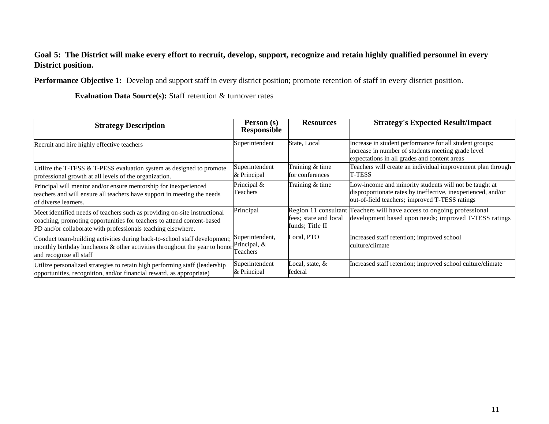#### **Goal 5: The District will make every effort to recruit, develop, support, recognize and retain highly qualified personnel in every District position.**

**Performance Objective 1:** Develop and support staff in every district position; promote retention of staff in every district position.

**Evaluation Data Source(s):** Staff retention & turnover rates

| <b>Strategy Description</b>                                                                                                                                                                                         | Person (s)<br>Responsible                   | <b>Resources</b>                         | <b>Strategy's Expected Result/Impact</b>                                                                                                                                 |
|---------------------------------------------------------------------------------------------------------------------------------------------------------------------------------------------------------------------|---------------------------------------------|------------------------------------------|--------------------------------------------------------------------------------------------------------------------------------------------------------------------------|
| Recruit and hire highly effective teachers                                                                                                                                                                          | Superintendent                              | State, Local                             | Increase in student performance for all student groups;<br>increase in number of students meeting grade level<br>expectations in all grades and content areas            |
| Utilize the T-TESS & T-PESS evaluation system as designed to promote<br>professional growth at all levels of the organization.                                                                                      | Superintendent<br>& Principal               | Training & time<br>for conferences       | Teachers will create an individual improvement plan through<br><b>T-TESS</b>                                                                                             |
| Principal will mentor and/or ensure mentorship for inexperienced<br>teachers and will ensure all teachers have support in meeting the needs<br>of diverse learners.                                                 | Principal &<br>Teachers                     | Training & time                          | Low-income and minority students will not be taught at<br>disproportionate rates by ineffective, inexperienced, and/or<br>out-of-field teachers; improved T-TESS ratings |
| Meet identified needs of teachers such as providing on-site instructional<br>coaching, promoting opportunities for teachers to attend content-based<br>PD and/or collaborate with professionals teaching elsewhere. | Principal                                   | fees; state and local<br>funds: Title II | Region 11 consultant Teachers will have access to ongoing professional<br>development based upon needs; improved T-TESS ratings                                          |
| Conduct team-building activities during back-to-school staff development;<br>monthly birthday luncheons & other activities throughout the year to honor<br>and recognize all staff                                  | Superintendent,<br>Principal, &<br>Teachers | Local, PTO                               | Increased staff retention; improved school<br>culture/climate                                                                                                            |
| Utilize personalized strategies to retain high performing staff (leadership<br>opportunities, recognition, and/or financial reward, as appropriate)                                                                 | Superintendent<br>& Principal               | Local, state, &<br>federal               | Increased staff retention; improved school culture/climate                                                                                                               |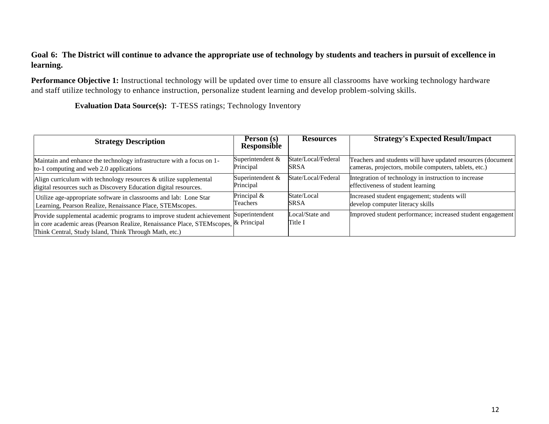#### **Goal 6: The District will continue to advance the appropriate use of technology by students and teachers in pursuit of excellence in learning.**

**Performance Objective 1:** Instructional technology will be updated over time to ensure all classrooms have working technology hardware and staff utilize technology to enhance instruction, personalize student learning and develop problem-solving skills.

**Evaluation Data Source(s):** T-TESS ratings; Technology Inventory

| <b>Strategy Description</b>                                                                                                                                                                                            | Person (s)<br><b>Responsible</b> | <b>Resources</b>           | <b>Strategy's Expected Result/Impact</b>                    |
|------------------------------------------------------------------------------------------------------------------------------------------------------------------------------------------------------------------------|----------------------------------|----------------------------|-------------------------------------------------------------|
| Maintain and enhance the technology infrastructure with a focus on 1-                                                                                                                                                  | Superintendent &                 | State/Local/Federal        | Teachers and students will have updated resources (document |
| to-1 computing and web 2.0 applications                                                                                                                                                                                | Principal                        | <b>SRSA</b>                | cameras, projectors, mobile computers, tablets, etc.)       |
| Align curriculum with technology resources $\&$ utilize supplemental                                                                                                                                                   | Superintendent &                 | State/Local/Federal        | Integration of technology in instruction to increase        |
| digital resources such as Discovery Education digital resources.                                                                                                                                                       | Principal                        |                            | effectiveness of student learning                           |
| Utilize age-appropriate software in classrooms and lab: Lone Star                                                                                                                                                      | Principal &                      | State/Local                | Increased student engagement; students will                 |
| Learning, Pearson Realize, Renaissance Place, STEMscopes.                                                                                                                                                              | Teachers                         | <b>SRSA</b>                | develop computer literacy skills                            |
| Provide supplemental academic programs to improve student achievement<br>in core academic areas (Pearson Realize, Renaissance Place, STEMscopes, & Principal<br>Think Central, Study Island, Think Through Math, etc.) | Superintendent                   | Local/State and<br>Title I | Improved student performance; increased student engagement  |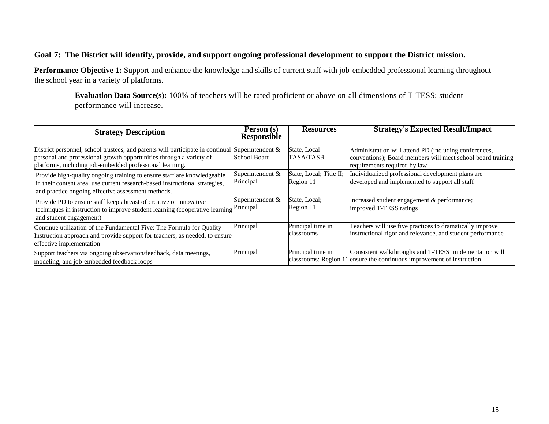#### **Goal 7: The District will identify, provide, and support ongoing professional development to support the District mission.**

**Performance Objective 1:** Support and enhance the knowledge and skills of current staff with job-embedded professional learning throughout the school year in a variety of platforms.

**Evaluation Data Source(s):** 100% of teachers will be rated proficient or above on all dimensions of T-TESS; student performance will increase.

| <b>Strategy Description</b>                                                                                                                                                                                       | Person (s)<br>Responsible               | <b>Resources</b>                     | <b>Strategy's Expected Result/Impact</b>                                                                                                             |
|-------------------------------------------------------------------------------------------------------------------------------------------------------------------------------------------------------------------|-----------------------------------------|--------------------------------------|------------------------------------------------------------------------------------------------------------------------------------------------------|
| District personnel, school trustees, and parents will participate in continual<br>personal and professional growth opportunities through a variety of<br>platforms, including job-embedded professional learning. | Superintendent &<br><b>School Board</b> | State, Local<br><b>TASA/TASB</b>     | Administration will attend PD (including conferences,<br>conventions); Board members will meet school board training<br>requirements required by law |
| Provide high-quality ongoing training to ensure staff are knowledgeable<br>in their content area, use current research-based instructional strategies,<br>and practice ongoing effective assessment methods.      | Superintendent &<br>Principal           | State, Local; Title II;<br>Region 11 | Individualized professional development plans are<br>developed and implemented to support all staff                                                  |
| Provide PD to ensure staff keep abreast of creative or innovative<br>techniques in instruction to improve student learning (cooperative learning<br>and student engagement)                                       | Superintendent &<br>Principal           | State, Local;<br>Region 11           | Increased student engagement & performance;<br>improved T-TESS ratings                                                                               |
| Continue utilization of the Fundamental Five: The Formula for Quality<br>Instruction approach and provide support for teachers, as needed, to ensure<br>effective implementation                                  | Principal                               | Principal time in<br>classrooms      | Teachers will use five practices to dramatically improve<br>instructional rigor and relevance, and student performance                               |
| Support teachers via ongoing observation/feedback, data meetings,<br>modeling, and job-embedded feedback loops                                                                                                    | Principal                               | Principal time in                    | Consistent walkthroughs and T-TESS implementation will<br>classrooms; Region 11 ensure the continuous improvement of instruction                     |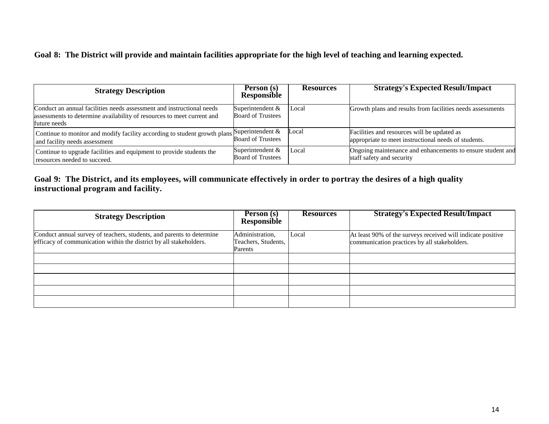#### **Goal 8: The District will provide and maintain facilities appropriate for the high level of teaching and learning expected.**

| <b>Strategy Description</b>                                                                                                                                     | Person (s)<br><b>Responsible</b>             | <b>Resources</b> | <b>Strategy's Expected Result/Impact</b>                                                            |
|-----------------------------------------------------------------------------------------------------------------------------------------------------------------|----------------------------------------------|------------------|-----------------------------------------------------------------------------------------------------|
| Conduct an annual facilities needs assessment and instructional needs<br>assessments to determine availability of resources to meet current and<br>future needs | Superintendent &<br><b>Board of Trustees</b> | Local            | Growth plans and results from facilities needs assessments                                          |
| Continue to monitor and modify facility according to student growth plans Superintendent $\&$<br>and facility needs assessment                                  | <b>Board of Trustees</b>                     | Local            | Facilities and resources will be updated as<br>appropriate to meet instructional needs of students. |
| Continue to upgrade facilities and equipment to provide students the<br>resources needed to succeed.                                                            | Superintendent &<br><b>Board of Trustees</b> | Local            | Ongoing maintenance and enhancements to ensure student and<br>staff safety and security             |

#### **Goal 9: The District, and its employees, will communicate effectively in order to portray the desires of a high quality instructional program and facility.**

| <b>Strategy Description</b>                                                                                                                 | <b>Person</b> (s)<br>Responsible                  | <b>Resources</b> | <b>Strategy's Expected Result/Impact</b>                                                                    |
|---------------------------------------------------------------------------------------------------------------------------------------------|---------------------------------------------------|------------------|-------------------------------------------------------------------------------------------------------------|
| Conduct annual survey of teachers, students, and parents to determine<br>efficacy of communication within the district by all stakeholders. | Administration,<br>Teachers, Students,<br>Parents | Local            | At least 90% of the surveys received will indicate positive<br>communication practices by all stakeholders. |
|                                                                                                                                             |                                                   |                  |                                                                                                             |
|                                                                                                                                             |                                                   |                  |                                                                                                             |
|                                                                                                                                             |                                                   |                  |                                                                                                             |
|                                                                                                                                             |                                                   |                  |                                                                                                             |
|                                                                                                                                             |                                                   |                  |                                                                                                             |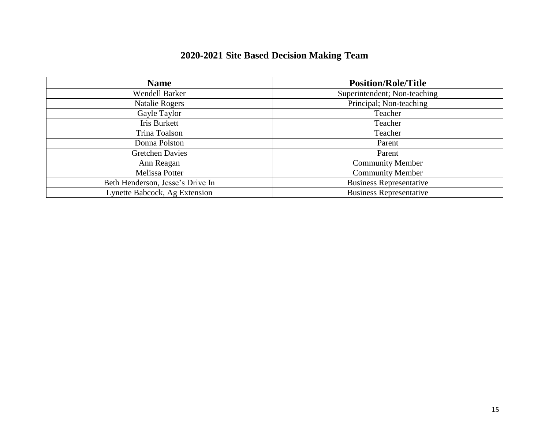| 2020-2021 Site Based Decision Making Team |  |  |  |  |  |
|-------------------------------------------|--|--|--|--|--|
|-------------------------------------------|--|--|--|--|--|

| <b>Name</b>                      | <b>Position/Role/Title</b>     |
|----------------------------------|--------------------------------|
| <b>Wendell Barker</b>            | Superintendent; Non-teaching   |
| <b>Natalie Rogers</b>            | Principal; Non-teaching        |
| Gayle Taylor                     | Teacher                        |
| Iris Burkett                     | Teacher                        |
| Trina Toalson                    | Teacher                        |
| Donna Polston                    | Parent                         |
| <b>Gretchen Davies</b>           | Parent                         |
| Ann Reagan                       | <b>Community Member</b>        |
| Melissa Potter                   | <b>Community Member</b>        |
| Beth Henderson, Jesse's Drive In | <b>Business Representative</b> |
| Lynette Babcock, Ag Extension    | <b>Business Representative</b> |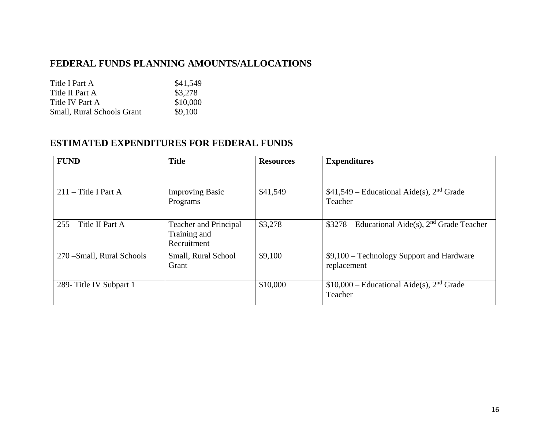### **FEDERAL FUNDS PLANNING AMOUNTS/ALLOCATIONS**

Title I Part A \$41,549 Title II Part A \$3,278 Title IV Part A \$10,000 Small, Rural Schools Grant \$9,100

### **ESTIMATED EXPENDITURES FOR FEDERAL FUNDS**

| <b>FUND</b>                | <b>Title</b>                                                | <b>Resources</b> | <b>Expenditures</b>                                               |
|----------------------------|-------------------------------------------------------------|------------------|-------------------------------------------------------------------|
|                            |                                                             |                  |                                                                   |
| $211$ – Title I Part A     | <b>Improving Basic</b><br>Programs                          | \$41,549         | $$41,549$ – Educational Aide(s), $2nd$ Grade<br>Teacher           |
| $255 -$ Title II Part A    | <b>Teacher and Principal</b><br>Training and<br>Recruitment | \$3,278          | $$3278 - Educational Aide(s), 2nd Grade Teacher$                  |
| 270 - Small, Rural Schools | Small, Rural School<br>Grant                                | \$9,100          | \$9,100 - Technology Support and Hardware<br>replacement          |
| 289- Title IV Subpart 1    |                                                             | \$10,000         | $$10,000$ – Educational Aide(s), 2 <sup>nd</sup> Grade<br>Teacher |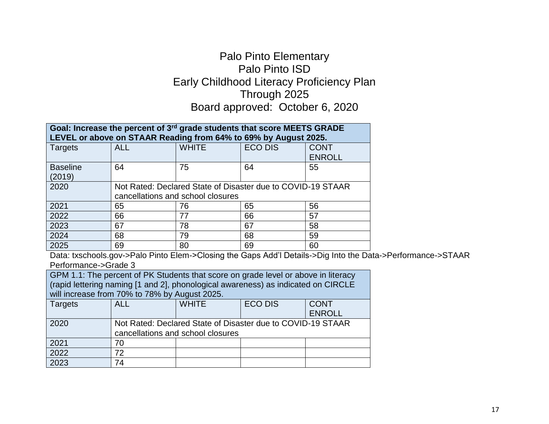## Palo Pinto Elementary Palo Pinto ISD Early Childhood Literacy Proficiency Plan Through 2025 Board approved: October 6, 2020

| Goal: Increase the percent of 3rd grade students that score MEETS GRADE<br>LEVEL or above on STAAR Reading from 64% to 69% by August 2025. |                                                                                                  |              |                |                              |  |
|--------------------------------------------------------------------------------------------------------------------------------------------|--------------------------------------------------------------------------------------------------|--------------|----------------|------------------------------|--|
| Targets                                                                                                                                    | <b>ALL</b>                                                                                       | <b>WHITE</b> | <b>ECO DIS</b> | <b>CONT</b><br><b>ENROLL</b> |  |
| <b>Baseline</b>                                                                                                                            | 64                                                                                               | 75           | 64             | 55                           |  |
| (2019)<br>2020                                                                                                                             |                                                                                                  |              |                |                              |  |
|                                                                                                                                            | Not Rated: Declared State of Disaster due to COVID-19 STAAR<br>cancellations and school closures |              |                |                              |  |
| 2021                                                                                                                                       | 65                                                                                               | 76           | 65             | 56                           |  |
| 2022                                                                                                                                       | 66                                                                                               | 77           | 66             | 57                           |  |
| 2023                                                                                                                                       | 67                                                                                               | 78           | 67             | 58                           |  |
| 2024                                                                                                                                       | 68                                                                                               | 79           | 68             | 59                           |  |
| 2025                                                                                                                                       | 69<br>--<br>- -                                                                                  | 80<br>- -    | 69             | 60<br>.                      |  |

Data: txschools.gov->Palo Pinto Elem->Closing the Gaps Add'l Details->Dig Into the Data->Performance->STAAR Performance->Grade 3

GPM 1.1: The percent of PK Students that score on grade level or above in literacy (rapid lettering naming [1 and 2], phonological awareness) as indicated on CIRCLE will increase from 70% to 78% by August 2025.

| <b>Targets</b> | <b>ALL</b> | <b>WHITE</b>                                                                                     | <b>ECO DIS</b> | <b>CONT</b><br><b>ENROLL</b> |
|----------------|------------|--------------------------------------------------------------------------------------------------|----------------|------------------------------|
| 2020           |            | Not Rated: Declared State of Disaster due to COVID-19 STAAR<br>cancellations and school closures |                |                              |
| 2021           | 70         |                                                                                                  |                |                              |
| 2022           | 72         |                                                                                                  |                |                              |
| 2023           | 74         |                                                                                                  |                |                              |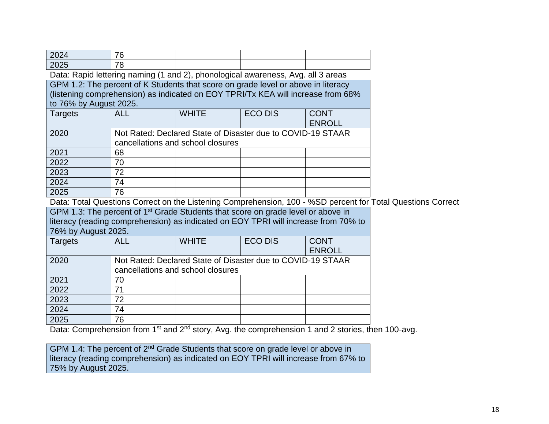| 2024                   | 76                                                                                           |                                   |                                                             |               |                                                                                                             |
|------------------------|----------------------------------------------------------------------------------------------|-----------------------------------|-------------------------------------------------------------|---------------|-------------------------------------------------------------------------------------------------------------|
| 2025                   | 78                                                                                           |                                   |                                                             |               |                                                                                                             |
|                        | Data: Rapid lettering naming (1 and 2), phonological awareness, Avg. all 3 areas             |                                   |                                                             |               |                                                                                                             |
|                        | GPM 1.2: The percent of K Students that score on grade level or above in literacy            |                                   |                                                             |               |                                                                                                             |
|                        | (listening comprehension) as indicated on EOY TPRI/Tx KEA will increase from 68%             |                                   |                                                             |               |                                                                                                             |
| to 76% by August 2025. |                                                                                              |                                   |                                                             |               |                                                                                                             |
| <b>Targets</b>         | <b>ALL</b>                                                                                   | <b>WHITE</b>                      | <b>ECO DIS</b>                                              | <b>CONT</b>   |                                                                                                             |
|                        |                                                                                              |                                   |                                                             | <b>ENROLL</b> |                                                                                                             |
| 2020                   |                                                                                              |                                   | Not Rated: Declared State of Disaster due to COVID-19 STAAR |               |                                                                                                             |
|                        |                                                                                              | cancellations and school closures |                                                             |               |                                                                                                             |
| 2021                   | 68                                                                                           |                                   |                                                             |               |                                                                                                             |
| 2022                   | 70                                                                                           |                                   |                                                             |               |                                                                                                             |
| 2023                   | 72                                                                                           |                                   |                                                             |               |                                                                                                             |
| 2024                   | 74                                                                                           |                                   |                                                             |               |                                                                                                             |
| 2025                   | 76                                                                                           |                                   |                                                             |               |                                                                                                             |
|                        |                                                                                              |                                   |                                                             |               | Data: Total Questions Correct on the Listening Comprehension, 100 - %SD percent for Total Questions Correct |
|                        | GPM 1.3: The percent of 1 <sup>st</sup> Grade Students that score on grade level or above in |                                   |                                                             |               |                                                                                                             |
|                        | literacy (reading comprehension) as indicated on EOY TPRI will increase from 70% to          |                                   |                                                             |               |                                                                                                             |
| 76% by August 2025.    |                                                                                              |                                   |                                                             |               |                                                                                                             |
| <b>Targets</b>         | <b>ALL</b>                                                                                   | <b>WHITE</b>                      | <b>ECO DIS</b>                                              | <b>CONT</b>   |                                                                                                             |
|                        |                                                                                              |                                   |                                                             | <b>ENROLL</b> |                                                                                                             |
| 2020                   |                                                                                              |                                   | Not Rated: Declared State of Disaster due to COVID-19 STAAR |               |                                                                                                             |
|                        |                                                                                              | cancellations and school closures |                                                             |               |                                                                                                             |
| 2021                   | 70                                                                                           |                                   |                                                             |               |                                                                                                             |
| 2022                   | 71                                                                                           |                                   |                                                             |               |                                                                                                             |
| 2023                   | 72                                                                                           |                                   |                                                             |               |                                                                                                             |
| 2024                   | 74                                                                                           |                                   |                                                             |               |                                                                                                             |
| 2025                   | 76                                                                                           |                                   |                                                             |               |                                                                                                             |

Data: Comprehension from 1<sup>st</sup> and 2<sup>nd</sup> story, Avg. the comprehension 1 and 2 stories, then 100-avg.

GPM 1.4: The percent of 2<sup>nd</sup> Grade Students that score on grade level or above in literacy (reading comprehension) as indicated on EOY TPRI will increase from 67% to 75% by August 2025.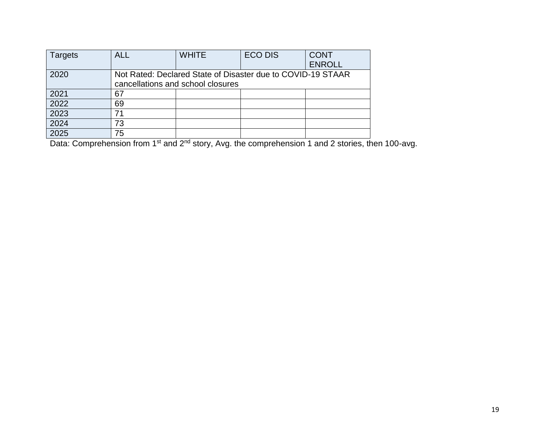| <b>Targets</b> | <b>ALL</b> | <b>WHITE</b>                                                | <b>ECO DIS</b> | <b>CONT</b>   |
|----------------|------------|-------------------------------------------------------------|----------------|---------------|
|                |            |                                                             |                | <b>ENROLL</b> |
| 2020           |            | Not Rated: Declared State of Disaster due to COVID-19 STAAR |                |               |
|                |            | cancellations and school closures                           |                |               |
| 2021           | 67         |                                                             |                |               |
| 2022           | 69         |                                                             |                |               |
| 2023           | 71         |                                                             |                |               |
| 2024           | 73         |                                                             |                |               |
| 2025           | 75         |                                                             |                |               |

Data: Comprehension from 1<sup>st</sup> and 2<sup>nd</sup> story, Avg. the comprehension 1 and 2 stories, then 100-avg.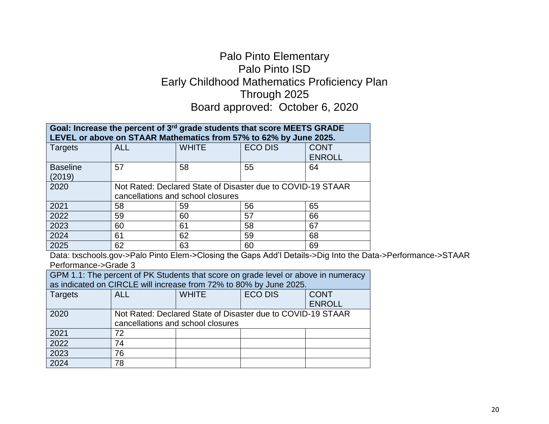## Palo Pinto Elementary Palo Pinto ISD Early Childhood Mathematics Proficiency Plan Through 2025 Board approved: October 6, 2020

| Goal: Increase the percent of 3rd grade students that score MEETS GRADE<br>LEVEL or above on STAAR Mathematics from 57% to 62% by June 2025. |                                                                                                  |              |                |                              |  |
|----------------------------------------------------------------------------------------------------------------------------------------------|--------------------------------------------------------------------------------------------------|--------------|----------------|------------------------------|--|
| Targets                                                                                                                                      | <b>ALL</b>                                                                                       | <b>WHITE</b> | <b>ECO DIS</b> | <b>CONT</b><br><b>ENROLL</b> |  |
| <b>Baseline</b><br>(2019)                                                                                                                    | 57                                                                                               | 58           | 55             | 64                           |  |
| 2020                                                                                                                                         | Not Rated: Declared State of Disaster due to COVID-19 STAAR<br>cancellations and school closures |              |                |                              |  |
| 2021                                                                                                                                         | 58                                                                                               | 59           | 56             | 65                           |  |
| 2022                                                                                                                                         | 59                                                                                               | 60           | 57             | 66                           |  |
| 2023                                                                                                                                         | 60                                                                                               | 61           | 58             | 67                           |  |
| 2024                                                                                                                                         | 61                                                                                               | 62           | 59             | 68                           |  |
| 2025                                                                                                                                         | 62                                                                                               | 63           | 60             | 69                           |  |
| Data: txschools.gov->Palo Pinto Flem->Closing the Gaps Add'l Details->Dig Into the Da                                                        |                                                                                                  |              |                |                              |  |

>Palo Pinto Elem->Closing the Gaps Add'l Details->Dig Into the Data->Performance->STAAR Performance->Grade 3

| GPM 1.1: The percent of PK Students that score on grade level or above in numeracy |                                                             |                                                                    |  |               |  |  |  |
|------------------------------------------------------------------------------------|-------------------------------------------------------------|--------------------------------------------------------------------|--|---------------|--|--|--|
|                                                                                    |                                                             | as indicated on CIRCLE will increase from 72% to 80% by June 2025. |  |               |  |  |  |
| <b>Targets</b>                                                                     | <b>ALL</b>                                                  | <b>ECO DIS</b><br><b>WHITE</b><br><b>CONT</b>                      |  |               |  |  |  |
|                                                                                    |                                                             |                                                                    |  | <b>ENROLL</b> |  |  |  |
| 2020                                                                               | Not Rated: Declared State of Disaster due to COVID-19 STAAR |                                                                    |  |               |  |  |  |
|                                                                                    |                                                             | cancellations and school closures                                  |  |               |  |  |  |
| 2021                                                                               | 72                                                          |                                                                    |  |               |  |  |  |
| 2022                                                                               | 74                                                          |                                                                    |  |               |  |  |  |
| 2023                                                                               | 76                                                          |                                                                    |  |               |  |  |  |
| 2024                                                                               | 78                                                          |                                                                    |  |               |  |  |  |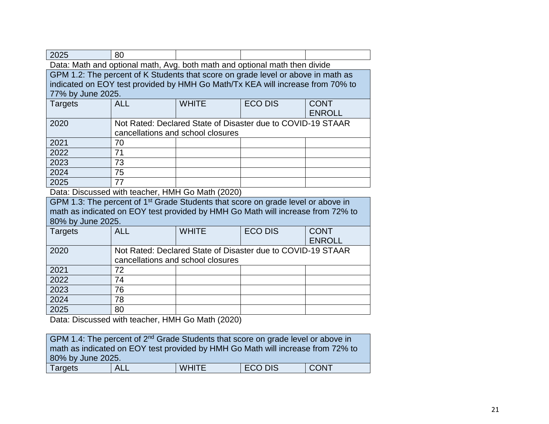| 2025                                                                       | 80                                |                                                                                              |                |               |  |  |
|----------------------------------------------------------------------------|-----------------------------------|----------------------------------------------------------------------------------------------|----------------|---------------|--|--|
| Data: Math and optional math, Avg. both math and optional math then divide |                                   |                                                                                              |                |               |  |  |
|                                                                            |                                   | GPM 1.2: The percent of K Students that score on grade level or above in math as             |                |               |  |  |
|                                                                            |                                   | indicated on EOY test provided by HMH Go Math/Tx KEA will increase from 70% to               |                |               |  |  |
| 77% by June 2025.                                                          |                                   |                                                                                              |                |               |  |  |
| <b>Targets</b>                                                             | <b>ALL</b>                        | <b>WHITE</b>                                                                                 | <b>ECO DIS</b> | <b>CONT</b>   |  |  |
|                                                                            |                                   |                                                                                              |                | <b>ENROLL</b> |  |  |
| 2020                                                                       |                                   | Not Rated: Declared State of Disaster due to COVID-19 STAAR                                  |                |               |  |  |
|                                                                            |                                   | cancellations and school closures                                                            |                |               |  |  |
| 2021                                                                       | 70                                |                                                                                              |                |               |  |  |
| 2022                                                                       | 71                                |                                                                                              |                |               |  |  |
| 2023                                                                       | 73                                |                                                                                              |                |               |  |  |
| 2024                                                                       | 75                                |                                                                                              |                |               |  |  |
| 2025                                                                       | 77                                |                                                                                              |                |               |  |  |
|                                                                            |                                   | Data: Discussed with teacher, HMH Go Math (2020)                                             |                |               |  |  |
|                                                                            |                                   | GPM 1.3: The percent of 1 <sup>st</sup> Grade Students that score on grade level or above in |                |               |  |  |
|                                                                            |                                   | math as indicated on EOY test provided by HMH Go Math will increase from 72% to              |                |               |  |  |
| 80% by June 2025.                                                          |                                   |                                                                                              |                |               |  |  |
| Targets                                                                    | <b>ALL</b>                        | <b>WHITE</b>                                                                                 | <b>ECO DIS</b> | <b>CONT</b>   |  |  |
|                                                                            |                                   |                                                                                              |                | <b>ENROLL</b> |  |  |
| 2020                                                                       |                                   | Not Rated: Declared State of Disaster due to COVID-19 STAAR                                  |                |               |  |  |
|                                                                            | cancellations and school closures |                                                                                              |                |               |  |  |
| 2021                                                                       | 72                                |                                                                                              |                |               |  |  |
| 2022                                                                       | 74                                |                                                                                              |                |               |  |  |
| 2023                                                                       | 76                                |                                                                                              |                |               |  |  |
| 2024                                                                       | 78                                |                                                                                              |                |               |  |  |
| 2025                                                                       | 80                                |                                                                                              |                |               |  |  |
| Data: Discussed with teacher, HMH Go Math (2020)                           |                                   |                                                                                              |                |               |  |  |

| GPM 1.4: The percent of 2 <sup>nd</sup> Grade Students that score on grade level or above in |  |  |  |  |  |  |
|----------------------------------------------------------------------------------------------|--|--|--|--|--|--|
| math as indicated on EOY test provided by HMH Go Math will increase from 72% to              |  |  |  |  |  |  |
| 80% by June 2025.                                                                            |  |  |  |  |  |  |
| <b>CONT</b><br><b>ECO DIS</b><br><b>WHITE</b><br><b>ALL</b><br><b>Targets</b>                |  |  |  |  |  |  |